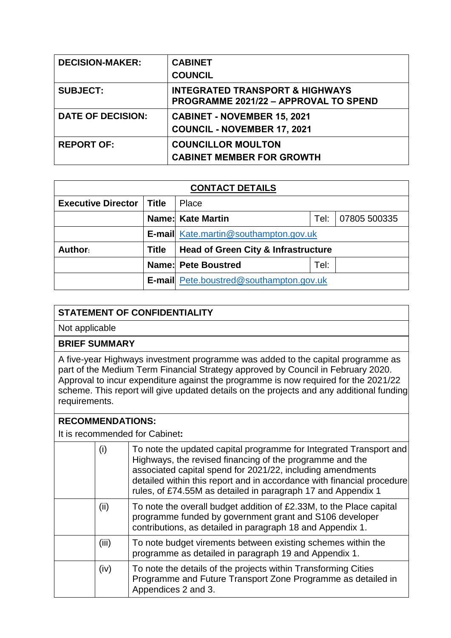| <b>DECISION-MAKER:</b>   | <b>CABINET</b>                                                                      |
|--------------------------|-------------------------------------------------------------------------------------|
|                          | <b>COUNCIL</b>                                                                      |
| <b>SUBJECT:</b>          | <b>INTEGRATED TRANSPORT &amp; HIGHWAYS</b><br>PROGRAMME 2021/22 - APPROVAL TO SPEND |
| <b>DATE OF DECISION:</b> | <b>CABINET - NOVEMBER 15, 2021</b>                                                  |
|                          | <b>COUNCIL - NOVEMBER 17, 2021</b>                                                  |
| <b>REPORT OF:</b>        | <b>COUNCILLOR MOULTON</b>                                                           |
|                          | <b>CABINET MEMBER FOR GROWTH</b>                                                    |

| <b>CONTACT DETAILS</b>    |       |                                                  |      |  |  |  |
|---------------------------|-------|--------------------------------------------------|------|--|--|--|
| <b>Executive Director</b> | Title | Place                                            |      |  |  |  |
|                           |       | <b>Name: Kate Martin</b><br>Tel:<br>07805 500335 |      |  |  |  |
|                           |       | <b>E-mail</b> Kate.martin@southampton.gov.uk     |      |  |  |  |
| Author:                   | Title | <b>Head of Green City &amp; Infrastructure</b>   |      |  |  |  |
|                           |       | <b>Name: Pete Boustred</b>                       | Tel: |  |  |  |
|                           |       | <b>E-mail</b> Pete.boustred@southampton.gov.uk   |      |  |  |  |

## **STATEMENT OF CONFIDENTIALITY**

Not applicable

## **BRIEF SUMMARY**

A five-year Highways investment programme was added to the capital programme as part of the Medium Term Financial Strategy approved by Council in February 2020. Approval to incur expenditure against the programme is now required for the 2021/22 scheme. This report will give updated details on the projects and any additional funding requirements.

## **RECOMMENDATIONS:**

It is recommended for Cabinet**:**

| (i)   | To note the updated capital programme for Integrated Transport and<br>Highways, the revised financing of the programme and the<br>associated capital spend for 2021/22, including amendments<br>detailed within this report and in accordance with financial procedure<br>rules, of £74.55M as detailed in paragraph 17 and Appendix 1 |
|-------|----------------------------------------------------------------------------------------------------------------------------------------------------------------------------------------------------------------------------------------------------------------------------------------------------------------------------------------|
| (ii)  | To note the overall budget addition of £2.33M, to the Place capital<br>programme funded by government grant and S106 developer<br>contributions, as detailed in paragraph 18 and Appendix 1.                                                                                                                                           |
| (iii) | To note budget virements between existing schemes within the<br>programme as detailed in paragraph 19 and Appendix 1.                                                                                                                                                                                                                  |
| (iv)  | To note the details of the projects within Transforming Cities<br>Programme and Future Transport Zone Programme as detailed in<br>Appendices 2 and 3.                                                                                                                                                                                  |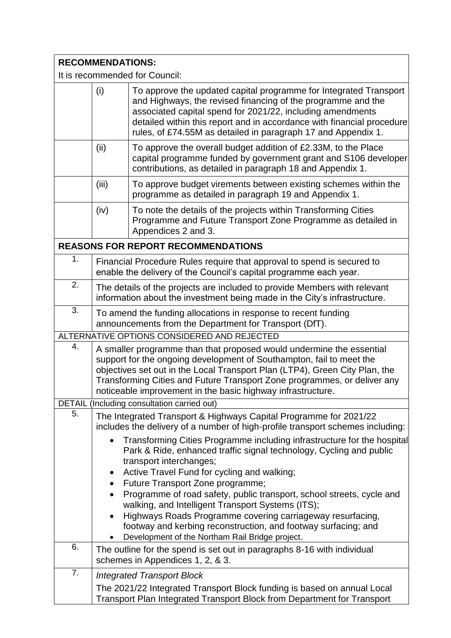## **RECOMMENDATIONS:**

It is recommended for Council:

|    | (i)                                                                                                                                                                                                                                                                                                                                                                    | To approve the updated capital programme for Integrated Transport<br>and Highways, the revised financing of the programme and the<br>associated capital spend for 2021/22, including amendments<br>detailed within this report and in accordance with financial procedure<br>rules, of £74.55M as detailed in paragraph 17 and Appendix 1. |  |  |
|----|------------------------------------------------------------------------------------------------------------------------------------------------------------------------------------------------------------------------------------------------------------------------------------------------------------------------------------------------------------------------|--------------------------------------------------------------------------------------------------------------------------------------------------------------------------------------------------------------------------------------------------------------------------------------------------------------------------------------------|--|--|
|    | (ii)                                                                                                                                                                                                                                                                                                                                                                   | To approve the overall budget addition of £2.33M, to the Place<br>capital programme funded by government grant and S106 developer<br>contributions, as detailed in paragraph 18 and Appendix 1.                                                                                                                                            |  |  |
|    | (iii)                                                                                                                                                                                                                                                                                                                                                                  | To approve budget virements between existing schemes within the<br>programme as detailed in paragraph 19 and Appendix 1.                                                                                                                                                                                                                   |  |  |
|    | (iv)                                                                                                                                                                                                                                                                                                                                                                   | To note the details of the projects within Transforming Cities<br>Programme and Future Transport Zone Programme as detailed in<br>Appendices 2 and 3.                                                                                                                                                                                      |  |  |
|    |                                                                                                                                                                                                                                                                                                                                                                        | <b>REASONS FOR REPORT RECOMMENDATIONS</b>                                                                                                                                                                                                                                                                                                  |  |  |
| 1. |                                                                                                                                                                                                                                                                                                                                                                        | Financial Procedure Rules require that approval to spend is secured to<br>enable the delivery of the Council's capital programme each year.                                                                                                                                                                                                |  |  |
| 2. |                                                                                                                                                                                                                                                                                                                                                                        | The details of the projects are included to provide Members with relevant<br>information about the investment being made in the City's infrastructure.                                                                                                                                                                                     |  |  |
| 3. | To amend the funding allocations in response to recent funding<br>announcements from the Department for Transport (DfT).                                                                                                                                                                                                                                               |                                                                                                                                                                                                                                                                                                                                            |  |  |
|    |                                                                                                                                                                                                                                                                                                                                                                        | ALTERNATIVE OPTIONS CONSIDERED AND REJECTED                                                                                                                                                                                                                                                                                                |  |  |
| 4. | A smaller programme than that proposed would undermine the essential<br>support for the ongoing development of Southampton, fail to meet the<br>objectives set out in the Local Transport Plan (LTP4), Green City Plan, the<br>Transforming Cities and Future Transport Zone programmes, or deliver any<br>noticeable improvement in the basic highway infrastructure. |                                                                                                                                                                                                                                                                                                                                            |  |  |
|    |                                                                                                                                                                                                                                                                                                                                                                        | DETAIL (Including consultation carried out)                                                                                                                                                                                                                                                                                                |  |  |
| 5. |                                                                                                                                                                                                                                                                                                                                                                        | The Integrated Transport & Highways Capital Programme for 2021/22<br>includes the delivery of a number of high-profile transport schemes including:                                                                                                                                                                                        |  |  |
|    | Transforming Cities Programme including infrastructure for the hospital<br>Park & Ride, enhanced traffic signal technology, Cycling and public<br>transport interchanges;<br>Active Travel Fund for cycling and walking;<br>$\bullet$                                                                                                                                  |                                                                                                                                                                                                                                                                                                                                            |  |  |
|    | Future Transport Zone programme;<br>$\bullet$<br>Programme of road safety, public transport, school streets, cycle and<br>$\bullet$<br>walking, and Intelligent Transport Systems (ITS);                                                                                                                                                                               |                                                                                                                                                                                                                                                                                                                                            |  |  |
|    | Highways Roads Programme covering carriageway resurfacing,<br>footway and kerbing reconstruction, and footway surfacing; and<br>Development of the Northam Rail Bridge project.                                                                                                                                                                                        |                                                                                                                                                                                                                                                                                                                                            |  |  |
| 6. |                                                                                                                                                                                                                                                                                                                                                                        | The outline for the spend is set out in paragraphs 8-16 with individual<br>schemes in Appendices 1, 2, & 3.                                                                                                                                                                                                                                |  |  |
| 7. |                                                                                                                                                                                                                                                                                                                                                                        | <b>Integrated Transport Block</b>                                                                                                                                                                                                                                                                                                          |  |  |
|    |                                                                                                                                                                                                                                                                                                                                                                        | The 2021/22 Integrated Transport Block funding is based on annual Local<br>Transport Plan Integrated Transport Block from Department for Transport                                                                                                                                                                                         |  |  |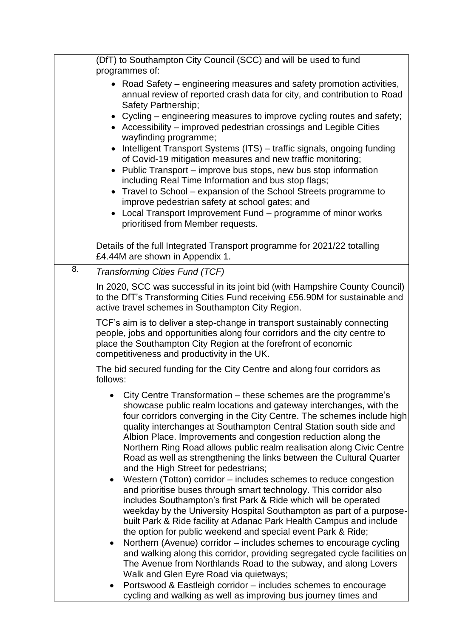|    | (DfT) to Southampton City Council (SCC) and will be used to fund                                                                                                                                                                                                                                                                                                                                                                                                                                                                                                                                                                                                                                                                                                                                                                                                  |  |  |
|----|-------------------------------------------------------------------------------------------------------------------------------------------------------------------------------------------------------------------------------------------------------------------------------------------------------------------------------------------------------------------------------------------------------------------------------------------------------------------------------------------------------------------------------------------------------------------------------------------------------------------------------------------------------------------------------------------------------------------------------------------------------------------------------------------------------------------------------------------------------------------|--|--|
|    | programmes of:<br>• Road Safety – engineering measures and safety promotion activities,<br>annual review of reported crash data for city, and contribution to Road<br>Safety Partnership;<br>• Cycling – engineering measures to improve cycling routes and safety;<br>• Accessibility – improved pedestrian crossings and Legible Cities<br>wayfinding programme;<br>Intelligent Transport Systems (ITS) - traffic signals, ongoing funding<br>of Covid-19 mitigation measures and new traffic monitoring;<br>Public Transport – improve bus stops, new bus stop information<br>including Real Time Information and bus stop flags;<br>• Travel to School – expansion of the School Streets programme to<br>improve pedestrian safety at school gates; and<br>• Local Transport Improvement Fund - programme of minor works<br>prioritised from Member requests. |  |  |
|    | Details of the full Integrated Transport programme for 2021/22 totalling<br>£4.44M are shown in Appendix 1.                                                                                                                                                                                                                                                                                                                                                                                                                                                                                                                                                                                                                                                                                                                                                       |  |  |
| 8. | Transforming Cities Fund (TCF)                                                                                                                                                                                                                                                                                                                                                                                                                                                                                                                                                                                                                                                                                                                                                                                                                                    |  |  |
|    | In 2020, SCC was successful in its joint bid (with Hampshire County Council)<br>to the DfT's Transforming Cities Fund receiving £56.90M for sustainable and<br>active travel schemes in Southampton City Region.                                                                                                                                                                                                                                                                                                                                                                                                                                                                                                                                                                                                                                                  |  |  |
|    | TCF's aim is to deliver a step-change in transport sustainably connecting<br>people, jobs and opportunities along four corridors and the city centre to<br>place the Southampton City Region at the forefront of economic<br>competitiveness and productivity in the UK.                                                                                                                                                                                                                                                                                                                                                                                                                                                                                                                                                                                          |  |  |
|    | The bid secured funding for the City Centre and along four corridors as<br>follows:                                                                                                                                                                                                                                                                                                                                                                                                                                                                                                                                                                                                                                                                                                                                                                               |  |  |
|    | City Centre Transformation - these schemes are the programme's<br>showcase public realm locations and gateway interchanges, with the<br>four corridors converging in the City Centre. The schemes include high<br>quality interchanges at Southampton Central Station south side and<br>Albion Place. Improvements and congestion reduction along the<br>Northern Ring Road allows public realm realisation along Civic Centre<br>Road as well as strengthening the links between the Cultural Quarter<br>and the High Street for pedestrians;                                                                                                                                                                                                                                                                                                                    |  |  |
|    | Western (Totton) corridor – includes schemes to reduce congestion<br>and prioritise buses through smart technology. This corridor also<br>includes Southampton's first Park & Ride which will be operated<br>weekday by the University Hospital Southampton as part of a purpose-<br>built Park & Ride facility at Adanac Park Health Campus and include<br>the option for public weekend and special event Park & Ride;                                                                                                                                                                                                                                                                                                                                                                                                                                          |  |  |
|    | Northern (Avenue) corridor – includes schemes to encourage cycling<br>$\bullet$<br>and walking along this corridor, providing segregated cycle facilities on<br>The Avenue from Northlands Road to the subway, and along Lovers<br>Walk and Glen Eyre Road via quietways;                                                                                                                                                                                                                                                                                                                                                                                                                                                                                                                                                                                         |  |  |
|    | Portswood & Eastleigh corridor - includes schemes to encourage<br>cycling and walking as well as improving bus journey times and                                                                                                                                                                                                                                                                                                                                                                                                                                                                                                                                                                                                                                                                                                                                  |  |  |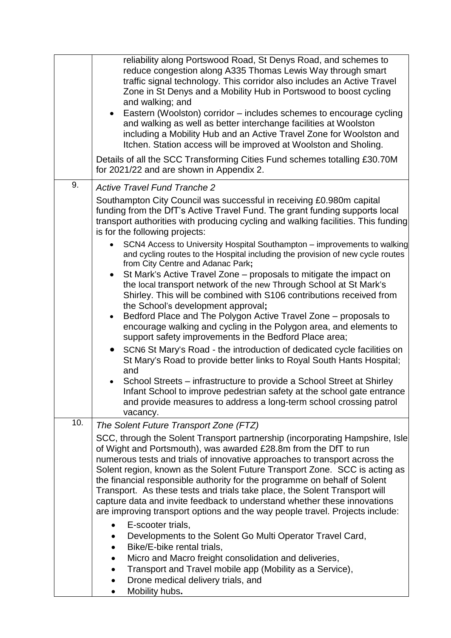|     | reliability along Portswood Road, St Denys Road, and schemes to<br>reduce congestion along A335 Thomas Lewis Way through smart<br>traffic signal technology. This corridor also includes an Active Travel<br>Zone in St Denys and a Mobility Hub in Portswood to boost cycling<br>and walking; and<br>Eastern (Woolston) corridor – includes schemes to encourage cycling<br>and walking as well as better interchange facilities at Woolston<br>including a Mobility Hub and an Active Travel Zone for Woolston and<br>Itchen. Station access will be improved at Woolston and Sholing.<br>Details of all the SCC Transforming Cities Fund schemes totalling £30.70M<br>for 2021/22 and are shown in Appendix 2. |
|-----|-------------------------------------------------------------------------------------------------------------------------------------------------------------------------------------------------------------------------------------------------------------------------------------------------------------------------------------------------------------------------------------------------------------------------------------------------------------------------------------------------------------------------------------------------------------------------------------------------------------------------------------------------------------------------------------------------------------------|
| 9.  | <b>Active Travel Fund Tranche 2</b>                                                                                                                                                                                                                                                                                                                                                                                                                                                                                                                                                                                                                                                                               |
|     | Southampton City Council was successful in receiving £0.980m capital<br>funding from the DfT's Active Travel Fund. The grant funding supports local<br>transport authorities with producing cycling and walking facilities. This funding<br>is for the following projects:                                                                                                                                                                                                                                                                                                                                                                                                                                        |
|     | SCN4 Access to University Hospital Southampton – improvements to walking<br>and cycling routes to the Hospital including the provision of new cycle routes<br>from City Centre and Adanac Park;                                                                                                                                                                                                                                                                                                                                                                                                                                                                                                                   |
|     | St Mark's Active Travel Zone – proposals to mitigate the impact on<br>$\bullet$<br>the local transport network of the new Through School at St Mark's<br>Shirley. This will be combined with S106 contributions received from<br>the School's development approval;<br>Bedford Place and The Polygon Active Travel Zone – proposals to<br>$\bullet$                                                                                                                                                                                                                                                                                                                                                               |
|     | encourage walking and cycling in the Polygon area, and elements to<br>support safety improvements in the Bedford Place area;                                                                                                                                                                                                                                                                                                                                                                                                                                                                                                                                                                                      |
|     | SCN6 St Mary's Road - the introduction of dedicated cycle facilities on<br>$\bullet$<br>St Mary's Road to provide better links to Royal South Hants Hospital;<br>and                                                                                                                                                                                                                                                                                                                                                                                                                                                                                                                                              |
|     | School Streets – infrastructure to provide a School Street at Shirley<br>Infant School to improve pedestrian safety at the school gate entrance<br>and provide measures to address a long-term school crossing patrol<br>vacancy.                                                                                                                                                                                                                                                                                                                                                                                                                                                                                 |
| 10. | The Solent Future Transport Zone (FTZ)                                                                                                                                                                                                                                                                                                                                                                                                                                                                                                                                                                                                                                                                            |
|     | SCC, through the Solent Transport partnership (incorporating Hampshire, Isle<br>of Wight and Portsmouth), was awarded £28.8m from the DfT to run<br>numerous tests and trials of innovative approaches to transport across the<br>Solent region, known as the Solent Future Transport Zone. SCC is acting as<br>the financial responsible authority for the programme on behalf of Solent<br>Transport. As these tests and trials take place, the Solent Transport will<br>capture data and invite feedback to understand whether these innovations<br>are improving transport options and the way people travel. Projects include:<br>E-scooter trials,<br>$\bullet$                                             |
|     | Developments to the Solent Go Multi Operator Travel Card,<br>Bike/E-bike rental trials,<br>$\bullet$<br>Micro and Macro freight consolidation and deliveries,<br>$\bullet$<br>Transport and Travel mobile app (Mobility as a Service),<br>Drone medical delivery trials, and<br>$\bullet$<br>Mobility hubs.                                                                                                                                                                                                                                                                                                                                                                                                       |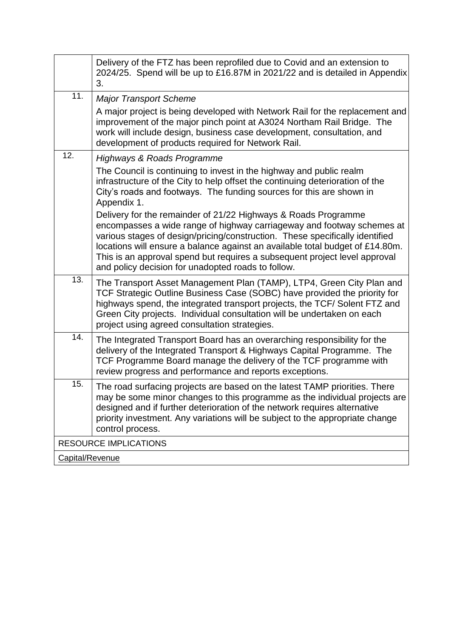|                 | Delivery of the FTZ has been reprofiled due to Covid and an extension to<br>2024/25. Spend will be up to £16.87M in 2021/22 and is detailed in Appendix<br>3.                                                                                                                                                                                                                                                                                 |
|-----------------|-----------------------------------------------------------------------------------------------------------------------------------------------------------------------------------------------------------------------------------------------------------------------------------------------------------------------------------------------------------------------------------------------------------------------------------------------|
| 11.             | <b>Major Transport Scheme</b>                                                                                                                                                                                                                                                                                                                                                                                                                 |
|                 | A major project is being developed with Network Rail for the replacement and<br>improvement of the major pinch point at A3024 Northam Rail Bridge. The<br>work will include design, business case development, consultation, and<br>development of products required for Network Rail.                                                                                                                                                        |
| 12.             | <b>Highways &amp; Roads Programme</b>                                                                                                                                                                                                                                                                                                                                                                                                         |
|                 | The Council is continuing to invest in the highway and public realm<br>infrastructure of the City to help offset the continuing deterioration of the<br>City's roads and footways. The funding sources for this are shown in<br>Appendix 1.                                                                                                                                                                                                   |
|                 | Delivery for the remainder of 21/22 Highways & Roads Programme<br>encompasses a wide range of highway carriageway and footway schemes at<br>various stages of design/pricing/construction. These specifically identified<br>locations will ensure a balance against an available total budget of £14.80m.<br>This is an approval spend but requires a subsequent project level approval<br>and policy decision for unadopted roads to follow. |
| 13.             | The Transport Asset Management Plan (TAMP), LTP4, Green City Plan and<br>TCF Strategic Outline Business Case (SOBC) have provided the priority for<br>highways spend, the integrated transport projects, the TCF/ Solent FTZ and<br>Green City projects. Individual consultation will be undertaken on each<br>project using agreed consultation strategies.                                                                                  |
| 14.             | The Integrated Transport Board has an overarching responsibility for the<br>delivery of the Integrated Transport & Highways Capital Programme. The<br>TCF Programme Board manage the delivery of the TCF programme with<br>review progress and performance and reports exceptions.                                                                                                                                                            |
| 15.             | The road surfacing projects are based on the latest TAMP priorities. There<br>may be some minor changes to this programme as the individual projects are<br>designed and if further deterioration of the network requires alternative<br>priority investment. Any variations will be subject to the appropriate change<br>control process.                                                                                                    |
|                 | <b>RESOURCE IMPLICATIONS</b>                                                                                                                                                                                                                                                                                                                                                                                                                  |
| Capital/Revenue |                                                                                                                                                                                                                                                                                                                                                                                                                                               |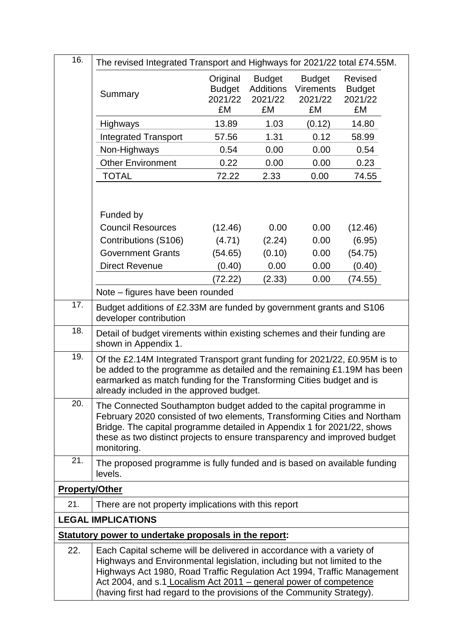| 16.                   | The revised Integrated Transport and Highways for 2021/22 total £74.55M.                                                                                                                                                                                                                                                                                                    |                                            |                                                    |                                                    |                                           |
|-----------------------|-----------------------------------------------------------------------------------------------------------------------------------------------------------------------------------------------------------------------------------------------------------------------------------------------------------------------------------------------------------------------------|--------------------------------------------|----------------------------------------------------|----------------------------------------------------|-------------------------------------------|
|                       | Summary                                                                                                                                                                                                                                                                                                                                                                     | Original<br><b>Budget</b><br>2021/22<br>£M | <b>Budget</b><br><b>Additions</b><br>2021/22<br>£M | <b>Budget</b><br><b>Virements</b><br>2021/22<br>£M | Revised<br><b>Budget</b><br>2021/22<br>£M |
|                       | Highways                                                                                                                                                                                                                                                                                                                                                                    | 13.89                                      | 1.03                                               | (0.12)                                             | 14.80                                     |
|                       | <b>Integrated Transport</b>                                                                                                                                                                                                                                                                                                                                                 | 57.56                                      | 1.31                                               | 0.12                                               | 58.99                                     |
|                       | Non-Highways                                                                                                                                                                                                                                                                                                                                                                | 0.54                                       | 0.00                                               | 0.00                                               | 0.54                                      |
|                       | <b>Other Environment</b>                                                                                                                                                                                                                                                                                                                                                    | 0.22                                       | 0.00                                               | 0.00                                               | 0.23                                      |
|                       | <b>TOTAL</b>                                                                                                                                                                                                                                                                                                                                                                | 72.22                                      | 2.33                                               | 0.00                                               | 74.55                                     |
|                       | Funded by<br><b>Council Resources</b>                                                                                                                                                                                                                                                                                                                                       | (12.46)                                    | 0.00                                               | 0.00                                               | (12.46)                                   |
|                       | Contributions (S106)                                                                                                                                                                                                                                                                                                                                                        | (4.71)                                     | (2.24)                                             | 0.00                                               | (6.95)                                    |
|                       | <b>Government Grants</b>                                                                                                                                                                                                                                                                                                                                                    | (54.65)                                    | (0.10)                                             | 0.00                                               | (54.75)                                   |
|                       | <b>Direct Revenue</b>                                                                                                                                                                                                                                                                                                                                                       | (0.40)                                     | 0.00                                               | 0.00                                               | (0.40)                                    |
|                       |                                                                                                                                                                                                                                                                                                                                                                             | (72.22)                                    | (2.33)                                             | 0.00                                               | (74.55)                                   |
|                       | Note – figures have been rounded                                                                                                                                                                                                                                                                                                                                            |                                            |                                                    |                                                    |                                           |
| 17.                   | Budget additions of £2.33M are funded by government grants and S106<br>developer contribution                                                                                                                                                                                                                                                                               |                                            |                                                    |                                                    |                                           |
| 18.                   | Detail of budget virements within existing schemes and their funding are<br>shown in Appendix 1.                                                                                                                                                                                                                                                                            |                                            |                                                    |                                                    |                                           |
| 19.                   | Of the £2.14M Integrated Transport grant funding for 2021/22, £0.95M is to<br>be added to the programme as detailed and the remaining £1.19M has been<br>earmarked as match funding for the Transforming Cities budget and is<br>already included in the approved budget.                                                                                                   |                                            |                                                    |                                                    |                                           |
| 20.                   | The Connected Southampton budget added to the capital programme in<br>February 2020 consisted of two elements, Transforming Cities and Northam<br>Bridge. The capital programme detailed in Appendix 1 for 2021/22, shows<br>these as two distinct projects to ensure transparency and improved budget<br>monitoring.                                                       |                                            |                                                    |                                                    |                                           |
| 21.                   | The proposed programme is fully funded and is based on available funding<br>levels.                                                                                                                                                                                                                                                                                         |                                            |                                                    |                                                    |                                           |
| <b>Property/Other</b> |                                                                                                                                                                                                                                                                                                                                                                             |                                            |                                                    |                                                    |                                           |
| 21.                   | There are not property implications with this report                                                                                                                                                                                                                                                                                                                        |                                            |                                                    |                                                    |                                           |
|                       | <b>LEGAL IMPLICATIONS</b>                                                                                                                                                                                                                                                                                                                                                   |                                            |                                                    |                                                    |                                           |
|                       | Statutory power to undertake proposals in the report:                                                                                                                                                                                                                                                                                                                       |                                            |                                                    |                                                    |                                           |
| 22.                   | Each Capital scheme will be delivered in accordance with a variety of<br>Highways and Environmental legislation, including but not limited to the<br>Highways Act 1980, Road Traffic Regulation Act 1994, Traffic Management<br>Act 2004, and s.1 Localism Act 2011 - general power of competence<br>(having first had regard to the provisions of the Community Strategy). |                                            |                                                    |                                                    |                                           |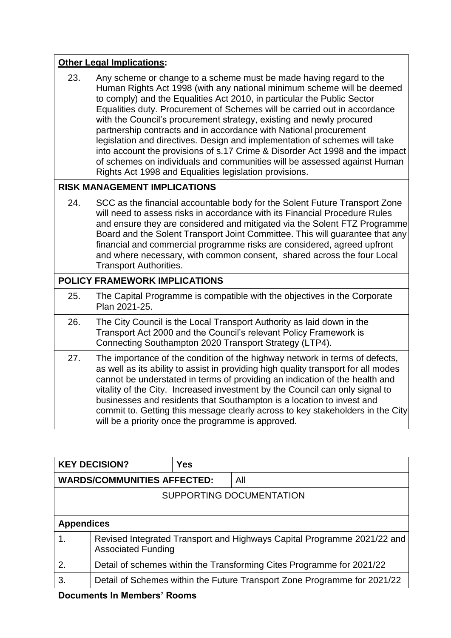|     | <b>Other Legal Implications:</b>                                                                                                                                                                                                                                                                                                                                                                                                                                                                                                                                                                                                                                                                                                                      |
|-----|-------------------------------------------------------------------------------------------------------------------------------------------------------------------------------------------------------------------------------------------------------------------------------------------------------------------------------------------------------------------------------------------------------------------------------------------------------------------------------------------------------------------------------------------------------------------------------------------------------------------------------------------------------------------------------------------------------------------------------------------------------|
| 23. | Any scheme or change to a scheme must be made having regard to the<br>Human Rights Act 1998 (with any national minimum scheme will be deemed<br>to comply) and the Equalities Act 2010, in particular the Public Sector<br>Equalities duty. Procurement of Schemes will be carried out in accordance<br>with the Council's procurement strategy, existing and newly procured<br>partnership contracts and in accordance with National procurement<br>legislation and directives. Design and implementation of schemes will take<br>into account the provisions of s.17 Crime & Disorder Act 1998 and the impact<br>of schemes on individuals and communities will be assessed against Human<br>Rights Act 1998 and Equalities legislation provisions. |
|     | <b>RISK MANAGEMENT IMPLICATIONS</b>                                                                                                                                                                                                                                                                                                                                                                                                                                                                                                                                                                                                                                                                                                                   |
| 24. | SCC as the financial accountable body for the Solent Future Transport Zone<br>will need to assess risks in accordance with its Financial Procedure Rules<br>and ensure they are considered and mitigated via the Solent FTZ Programme<br>Board and the Solent Transport Joint Committee. This will guarantee that any<br>financial and commercial programme risks are considered, agreed upfront<br>and where necessary, with common consent, shared across the four Local<br><b>Transport Authorities.</b>                                                                                                                                                                                                                                           |
|     | <b>POLICY FRAMEWORK IMPLICATIONS</b>                                                                                                                                                                                                                                                                                                                                                                                                                                                                                                                                                                                                                                                                                                                  |
| 25. | The Capital Programme is compatible with the objectives in the Corporate<br>Plan 2021-25.                                                                                                                                                                                                                                                                                                                                                                                                                                                                                                                                                                                                                                                             |
| 26. | The City Council is the Local Transport Authority as laid down in the<br>Transport Act 2000 and the Council's relevant Policy Framework is<br>Connecting Southampton 2020 Transport Strategy (LTP4).                                                                                                                                                                                                                                                                                                                                                                                                                                                                                                                                                  |
| 27. | The importance of the condition of the highway network in terms of defects,<br>as well as its ability to assist in providing high quality transport for all modes<br>cannot be understated in terms of providing an indication of the health and<br>vitality of the City. Increased investment by the Council can only signal to<br>businesses and residents that Southampton is a location to invest and<br>commit to. Getting this message clearly across to key stakeholders in the City<br>will be a priority once the programme is approved.                                                                                                                                                                                                     |

|                                    | <b>KEY DECISION?</b>                                                                                 | <b>Yes</b> |                                                                          |  |
|------------------------------------|------------------------------------------------------------------------------------------------------|------------|--------------------------------------------------------------------------|--|
| <b>WARDS/COMMUNITIES AFFECTED:</b> |                                                                                                      |            | All                                                                      |  |
| SUPPORTING DOCUMENTATION           |                                                                                                      |            |                                                                          |  |
|                                    |                                                                                                      |            |                                                                          |  |
| <b>Appendices</b>                  |                                                                                                      |            |                                                                          |  |
| 1.                                 | Revised Integrated Transport and Highways Capital Programme 2021/22 and<br><b>Associated Funding</b> |            |                                                                          |  |
| 2.                                 | Detail of schemes within the Transforming Cites Programme for 2021/22                                |            |                                                                          |  |
| 3.                                 |                                                                                                      |            | Detail of Schemes within the Future Transport Zone Programme for 2021/22 |  |
|                                    | Desumente In Mamboro <sup>'</sup> Deamo                                                              |            |                                                                          |  |

**Documents In Members' Rooms**